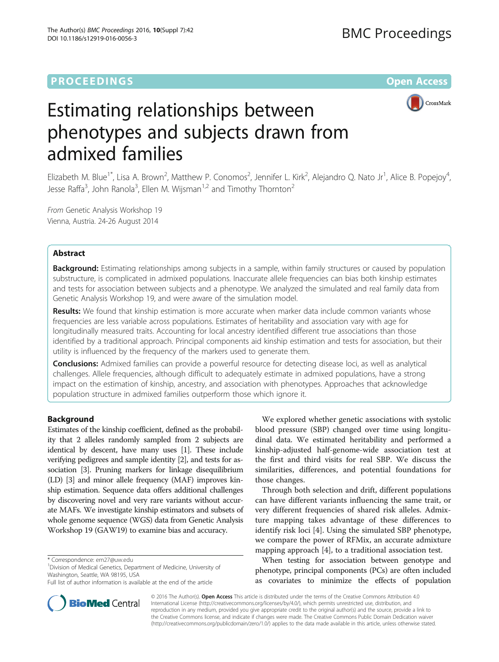# **PROCEEDINGS STATE ACCESS CONSUMING S** Open Access



# Estimating relationships between phenotypes and subjects drawn from admixed families

Elizabeth M. Blue<sup>1\*</sup>, Lisa A. Brown<sup>2</sup>, Matthew P. Conomos<sup>2</sup>, Jennifer L. Kirk<sup>2</sup>, Alejandro Q. Nato Jr<sup>1</sup>, Alice B. Popejoy<sup>4</sup> , Jesse Raffa<sup>3</sup>, John Ranola<sup>3</sup>, Ellen M. Wijsman<sup>1,2</sup> and Timothy Thornton<sup>2</sup>

From Genetic Analysis Workshop 19 Vienna, Austria. 24-26 August 2014

# Abstract

Background: Estimating relationships among subjects in a sample, within family structures or caused by population substructure, is complicated in admixed populations. Inaccurate allele frequencies can bias both kinship estimates and tests for association between subjects and a phenotype. We analyzed the simulated and real family data from Genetic Analysis Workshop 19, and were aware of the simulation model.

Results: We found that kinship estimation is more accurate when marker data include common variants whose frequencies are less variable across populations. Estimates of heritability and association vary with age for longitudinally measured traits. Accounting for local ancestry identified different true associations than those identified by a traditional approach. Principal components aid kinship estimation and tests for association, but their utility is influenced by the frequency of the markers used to generate them.

**Conclusions:** Admixed families can provide a powerful resource for detecting disease loci, as well as analytical challenges. Allele frequencies, although difficult to adequately estimate in admixed populations, have a strong impact on the estimation of kinship, ancestry, and association with phenotypes. Approaches that acknowledge population structure in admixed families outperform those which ignore it.

# Background

Estimates of the kinship coefficient, defined as the probability that 2 alleles randomly sampled from 2 subjects are identical by descent, have many uses [\[1\]](#page-4-0). These include verifying pedigrees and sample identity [\[2\]](#page-4-0), and tests for association [\[3\]](#page-4-0). Pruning markers for linkage disequilibrium (LD) [[3](#page-4-0)] and minor allele frequency (MAF) improves kinship estimation. Sequence data offers additional challenges by discovering novel and very rare variants without accurate MAFs. We investigate kinship estimators and subsets of whole genome sequence (WGS) data from Genetic Analysis Workshop 19 (GAW19) to examine bias and accuracy.

<sup>1</sup> Division of Medical Genetics, Department of Medicine, University of Washington, Seattle, WA 98195, USA

We explored whether genetic associations with systolic blood pressure (SBP) changed over time using longitudinal data. We estimated heritability and performed a kinship-adjusted half-genome-wide association test at the first and third visits for real SBP. We discuss the similarities, differences, and potential foundations for those changes.

Through both selection and drift, different populations can have different variants influencing the same trait, or very different frequencies of shared risk alleles. Admixture mapping takes advantage of these differences to identify risk loci [[4\]](#page-4-0). Using the simulated SBP phenotype, we compare the power of RFMix, an accurate admixture mapping approach [\[4](#page-4-0)], to a traditional association test.

When testing for association between genotype and phenotype, principal components (PCs) are often included as covariates to minimize the effects of population

© 2016 The Author(s). Open Access This article is distributed under the terms of the Creative Commons Attribution 4.0 International License [\(http://creativecommons.org/licenses/by/4.0/](http://creativecommons.org/licenses/by/4.0/)), which permits unrestricted use, distribution, and reproduction in any medium, provided you give appropriate credit to the original author(s) and the source, provide a link to the Creative Commons license, and indicate if changes were made. The Creative Commons Public Domain Dedication waiver [\(http://creativecommons.org/publicdomain/zero/1.0/](http://creativecommons.org/publicdomain/zero/1.0/)) applies to the data made available in this article, unless otherwise stated.



<sup>\*</sup> Correspondence: [em27@uw.edu](mailto:em27@uw.edu) <sup>1</sup>

Full list of author information is available at the end of the article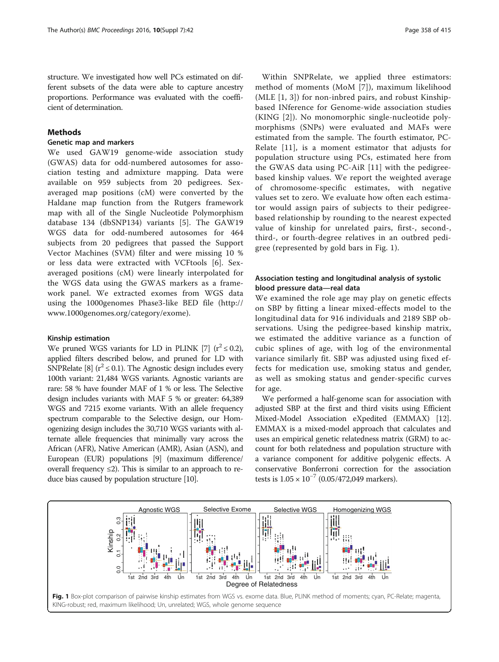<span id="page-1-0"></span>structure. We investigated how well PCs estimated on different subsets of the data were able to capture ancestry proportions. Performance was evaluated with the coefficient of determination.

# Methods

# Genetic map and markers

We used GAW19 genome-wide association study (GWAS) data for odd-numbered autosomes for association testing and admixture mapping. Data were available on 959 subjects from 20 pedigrees. Sexaveraged map positions (cM) were converted by the Haldane map function from the Rutgers framework map with all of the Single Nucleotide Polymorphism database 134 (dbSNP134) variants [\[5](#page-4-0)]. The GAW19 WGS data for odd-numbered autosomes for 464 subjects from 20 pedigrees that passed the Support Vector Machines (SVM) filter and were missing 10 % or less data were extracted with VCFtools [\[6](#page-4-0)]. Sexaveraged positions (cM) were linearly interpolated for the WGS data using the GWAS markers as a framework panel. We extracted exomes from WGS data using the 1000genomes Phase3-like BED file ([http://](http://www.1000genomes.org/category/exome) [www.1000genomes.org/category/exome](http://www.1000genomes.org/category/exome)).

#### Kinship estimation

We pruned WGS variants for LD in PLINK [\[7](#page-4-0)]  $(r^2 \le 0.2)$ , applied filters described below, and pruned for LD with SNPRelate [[8](#page-4-0)] ( $r^2 \le 0.1$ ). The Agnostic design includes every 100th variant: 21,484 WGS variants. Agnostic variants are rare: 58 % have founder MAF of 1 % or less. The Selective design includes variants with MAF 5 % or greater: 64,389 WGS and 7215 exome variants. With an allele frequency spectrum comparable to the Selective design, our Homogenizing design includes the 30,710 WGS variants with alternate allele frequencies that minimally vary across the African (AFR), Native American (AMR), Asian (ASN), and European (EUR) populations [\[9](#page-4-0)] (maximum difference/ overall frequency  $\leq$ 2). This is similar to an approach to reduce bias caused by population structure [\[10\]](#page-4-0).

Within SNPRelate, we applied three estimators: method of moments (MoM [[7\]](#page-4-0)), maximum likelihood (MLE [\[1](#page-4-0), [3\]](#page-4-0)) for non-inbred pairs, and robust Kinshipbased INference for Genome-wide association studies (KING [[2\]](#page-4-0)). No monomorphic single-nucleotide polymorphisms (SNPs) were evaluated and MAFs were estimated from the sample. The fourth estimator, PC-Relate [[11\]](#page-4-0), is a moment estimator that adjusts for population structure using PCs, estimated here from the GWAS data using PC-AiR [[11\]](#page-4-0) with the pedigreebased kinship values. We report the weighted average of chromosome-specific estimates, with negative values set to zero. We evaluate how often each estimator would assign pairs of subjects to their pedigreebased relationship by rounding to the nearest expected value of kinship for unrelated pairs, first-, second-, third-, or fourth-degree relatives in an outbred pedigree (represented by gold bars in Fig. 1).

# Association testing and longitudinal analysis of systolic blood pressure data—real data

We examined the role age may play on genetic effects on SBP by fitting a linear mixed-effects model to the longitudinal data for 916 individuals and 2189 SBP observations. Using the pedigree-based kinship matrix, we estimated the additive variance as a function of cubic splines of age, with log of the environmental variance similarly fit. SBP was adjusted using fixed effects for medication use, smoking status and gender, as well as smoking status and gender-specific curves for age.

We performed a half-genome scan for association with adjusted SBP at the first and third visits using Efficient Mixed-Model Association eXpedited (EMMAX) [[12](#page-4-0)]. EMMAX is a mixed-model approach that calculates and uses an empirical genetic relatedness matrix (GRM) to account for both relatedness and population structure with a variance component for additive polygenic effects. A conservative Bonferroni correction for the association tests is  $1.05 \times 10^{-7}$  (0.05/472,049 markers).

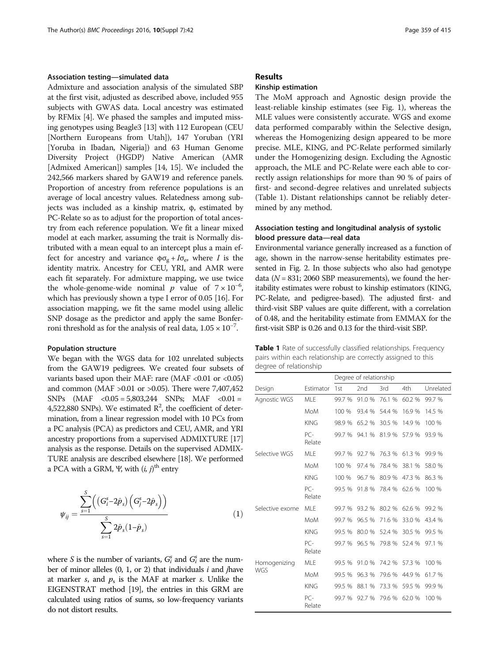# Association testing—simulated data

Admixture and association analysis of the simulated SBP at the first visit, adjusted as described above, included 955 subjects with GWAS data. Local ancestry was estimated by RFMix [[4](#page-4-0)]. We phased the samples and imputed missing genotypes using Beagle3 [[13](#page-5-0)] with 112 European (CEU [Northern Europeans from Utah]), 147 Yoruban (YRI [Yoruba in Ibadan, Nigeria]) and 63 Human Genome Diversity Project (HGDP) Native American (AMR [Admixed American]) samples [[14, 15\]](#page-5-0). We included the 242,566 markers shared by GAW19 and reference panels. Proportion of ancestry from reference populations is an average of local ancestry values. Relatedness among subjects was included as a kinship matrix, φ, estimated by PC-Relate so as to adjust for the proportion of total ancestry from each reference population. We fit a linear mixed model at each marker, assuming the trait is Normally distributed with a mean equal to an intercept plus a main effect for ancestry and variance  $\phi \sigma_{\sigma} + I \sigma_{\sigma}$ , where *I* is the identity matrix. Ancestry for CEU, YRI, and AMR were each fit separately. For admixture mapping, we use twice the whole-genome-wide nominal p value of  $7 \times 10^{-6}$ , which has previously shown a type I error of 0.05 [\[16](#page-5-0)]. For association mapping, we fit the same model using allelic SNP dosage as the predictor and apply the same Bonferroni threshold as for the analysis of real data,  $1.05 \times 10^{-7}$ .

#### Population structure

We began with the WGS data for 102 unrelated subjects from the GAW19 pedigrees. We created four subsets of variants based upon their MAF: rare (MAF <0.01 or <0.05) and common (MAF >0.01 or >0.05). There were 7,407,452 SNPs  $(MAF < 0.05 = 5,803,244$  SNPs; MAF  $< 0.01 =$ 4,522,880 SNPs). We estimated  $R^2$ , the coefficient of determination, from a linear regression model with 10 PCs from a PC analysis (PCA) as predictors and CEU, AMR, and YRI ancestry proportions from a supervised ADMIXTURE [\[17](#page-5-0)] analysis as the response. Details on the supervised ADMIX-TURE analysis are described elsewhere [\[18\]](#page-5-0). We performed a PCA with a GRM, Ψ, with  $(i, j)^\text{th}$  entry

$$
\psi_{ij} = \frac{\sum_{s=1}^{S} ((G_i^s - 2\hat{p}_s) (G_j^s - 2\hat{p}_s))}{\sum_{s=1}^{S} 2\hat{p}_s (1 - \hat{p}_s)}
$$
(1)

where S is the number of variants,  $G_i^s$  and  $G_i^s$  are the number of minor alleles  $(0, 1, or 2)$  that individuals *i* and *j*have at marker s, and  $p_s$  is the MAF at marker s. Unlike the EIGENSTRAT method [\[19\]](#page-5-0), the entries in this GRM are calculated using ratios of sums, so low-frequency variants do not distort results.

## Results

## Kinship estimation

The MoM approach and Agnostic design provide the least-reliable kinship estimates (see Fig. [1](#page-1-0)), whereas the MLE values were consistently accurate. WGS and exome data performed comparably within the Selective design, whereas the Homogenizing design appeared to be more precise. MLE, KING, and PC-Relate performed similarly under the Homogenizing design. Excluding the Agnostic approach, the MLE and PC-Relate were each able to correctly assign relationships for more than 90 % of pairs of first- and second-degree relatives and unrelated subjects (Table 1). Distant relationships cannot be reliably determined by any method.

# Association testing and longitudinal analysis of systolic blood pressure data—real data

Environmental variance generally increased as a function of age, shown in the narrow-sense heritability estimates presented in Fig. [2.](#page-3-0) In those subjects who also had genotype data ( $N = 831$ ; 2060 SBP measurements), we found the heritability estimates were robust to kinship estimators (KING, PC-Relate, and pedigree-based). The adjusted first- and third-visit SBP values are quite different, with a correlation of 0.48, and the heritability estimate from EMMAX for the first-visit SBP is 0.26 and 0.13 for the third-visit SBP.

| Table 1 Rate of successfully classified relationships. Frequency |
|------------------------------------------------------------------|
| pairs within each relationship are correctly assigned to this    |
| degree of relationship                                           |

|                            |                 | Degree of relationship |                 |        |        |           |  |  |
|----------------------------|-----------------|------------------------|-----------------|--------|--------|-----------|--|--|
| Design                     | Estimator       | 1st                    | 2 <sub>nd</sub> | 3rd    | 4th    | Unrelated |  |  |
| Agnostic WGS               | MLE             | 99.7 %                 | 91.0%           | 76.1 % | 60.2 % | 99.7 %    |  |  |
|                            | <b>MoM</b>      | 100 %                  | 93.4 %          | 54.4 % | 16.9%  | 14.5 %    |  |  |
|                            | <b>KING</b>     | 98.9 %                 | 65.2%           | 30.5 % | 14.9 % | 100 %     |  |  |
|                            | $PC-$<br>Relate | 99.7 %                 | 94.1 %          | 81.9%  | 57.9%  | 93.9%     |  |  |
| Selective WGS              | MI F            | 99.7 %                 | 92.7%           | 76.3 % | 61.3%  | 99.9 %    |  |  |
|                            | <b>MoM</b>      | 100 %                  | 97.4 %          | 78.4 % | 38.1 % | 58.0 %    |  |  |
|                            | <b>KING</b>     | 100 %                  | 96.7 %          | 80.9 % | 47.3 % | 86.3 %    |  |  |
|                            | $PC-$<br>Relate | 99.5 %                 | 91.8%           | 78.4 % | 62.6 % | 100 %     |  |  |
| Selective exome            | MI F            | 99.7 %                 | 93.2 %          | 80.2 % | 62.6 % | 99.2 %    |  |  |
|                            | <b>MoM</b>      | 99.7 %                 | 96.5 %          | 71.6 % | 33.0 % | 43.4 %    |  |  |
|                            | <b>KING</b>     | 99.5 %                 | 80.0 %          | 52.4 % | 30.5 % | 99.5 %    |  |  |
|                            | $PC-$<br>Relate | 99.7 %                 | 96.5 %          | 79.8 % | 52.4 % | 97.1 %    |  |  |
| Homogenizing<br><b>WGS</b> | MLE             | 99.5 %                 | 91.0%           | 74.2 % | 57.3 % | 100 %     |  |  |
|                            | MoM             | 99.5 %                 | 96.3 %          | 79.6 % | 44.9 % | 61.7%     |  |  |
|                            | <b>KING</b>     | 99.5 %                 | 88.1 %          | 73.3 % | 59.5 % | 99.9 %    |  |  |
|                            | $PC-$<br>Relate | 99.7 %                 | 92.7 %          | 79.6 % | 62.0%  | 100 %     |  |  |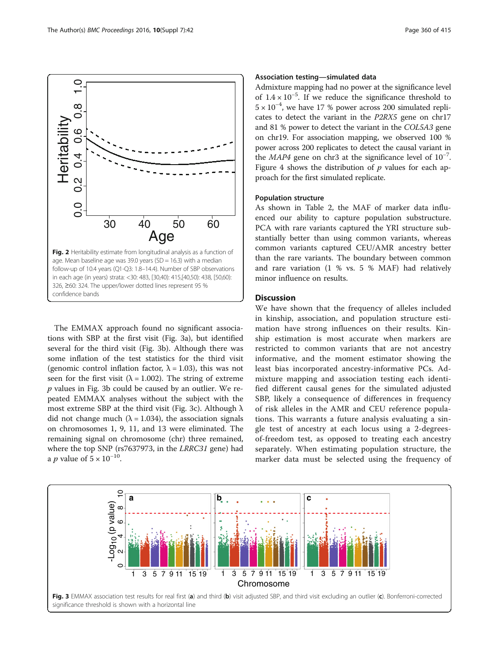<span id="page-3-0"></span>

The EMMAX approach found no significant associations with SBP at the first visit (Fig. 3a), but identified several for the third visit (Fig. 3b). Although there was some inflation of the test statistics for the third visit (genomic control inflation factor,  $\lambda = 1.03$ ), this was not seen for the first visit ( $\lambda = 1.002$ ). The string of extreme  $p$  values in Fig. 3b could be caused by an outlier. We repeated EMMAX analyses without the subject with the most extreme SBP at the third visit (Fig. 3c). Although  $\lambda$ did not change much ( $\lambda = 1.034$ ), the association signals on chromosomes 1, 9, 11, and 13 were eliminated. The remaining signal on chromosome (chr) three remained, where the top SNP (rs7637973, in the LRRC31 gene) had a *p* value of  $5 \times 10^{-10}$ .

# Association testing—simulated data

Admixture mapping had no power at the significance level of 1.4 × 10−<sup>5</sup> . If we reduce the significance threshold to 5 × 10−<sup>4</sup> , we have 17 % power across 200 simulated replicates to detect the variant in the P2RX5 gene on chr17 and 81 % power to detect the variant in the COL5A3 gene on chr19. For association mapping, we observed 100 % power across 200 replicates to detect the causal variant in the MAP4 gene on chr3 at the significance level of 10−<sup>7</sup> . Figure [4](#page-4-0) shows the distribution of  $p$  values for each approach for the first simulated replicate.

#### Population structure

As shown in Table [2](#page-4-0), the MAF of marker data influenced our ability to capture population substructure. PCA with rare variants captured the YRI structure substantially better than using common variants, whereas common variants captured CEU/AMR ancestry better than the rare variants. The boundary between common and rare variation (1 % vs. 5 % MAF) had relatively minor influence on results.

# **Discussion**

We have shown that the frequency of alleles included in kinship, association, and population structure estimation have strong influences on their results. Kinship estimation is most accurate when markers are restricted to common variants that are not ancestry informative, and the moment estimator showing the least bias incorporated ancestry-informative PCs. Admixture mapping and association testing each identified different causal genes for the simulated adjusted SBP, likely a consequence of differences in frequency of risk alleles in the AMR and CEU reference populations. This warrants a future analysis evaluating a single test of ancestry at each locus using a 2-degreesof-freedom test, as opposed to treating each ancestry separately. When estimating population structure, the marker data must be selected using the frequency of

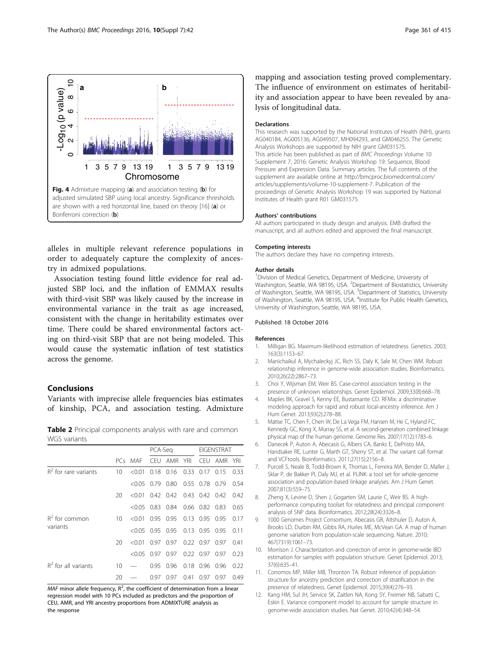<span id="page-4-0"></span>

alleles in multiple relevant reference populations in order to adequately capture the complexity of ancestry in admixed populations.

Association testing found little evidence for real adjusted SBP loci, and the inflation of EMMAX results with third-visit SBP was likely caused by the increase in environmental variance in the trait as age increased, consistent with the change in heritability estimates over time. There could be shared environmental factors acting on third-visit SBP that are not being modeled. This would cause the systematic inflation of test statistics across the genome.

# Conclusions

Variants with imprecise allele frequencies bias estimates of kinship, PCA, and association testing. Admixture

Table 2 Principal components analysis with rare and common WGS variants

|                              |          |                    | PCA-Sea    |      |             |                      | <b>EIGENSTRAT</b> |      |  |
|------------------------------|----------|--------------------|------------|------|-------------|----------------------|-------------------|------|--|
|                              |          | PCs MAF            | <b>CEU</b> | AMR  | <b>YRI</b>  | CEU -                | AMR               | YRI  |  |
| $R^2$ for rare variants      | 10       | < 0.01             | 0.18       | 0.16 | 0.33        | 0.17                 | 015               | 0.33 |  |
|                              |          | $<0.05$ 0.79       |            | 0.80 | 0.55 0.78   |                      | 0.79              | 0.54 |  |
|                              | 20       | $<0.01$ 0.42 0.42  |            |      |             | 0.43 0.42 0.42       |                   | 0.42 |  |
|                              |          | $< 0.05$ 0.83 0.84 |            |      |             | 0.66 0.82 0.83       |                   | 0.65 |  |
| $R^2$ for common<br>variants | $10^{-}$ | < 0.01             | 0.95 0.95  |      |             | $0.13$ $0.95$ $0.95$ |                   | 0.17 |  |
|                              |          | $<$ 0.05           | 0.95 0.95  |      | $0.13$ 0.95 |                      | 0.95              | 0.11 |  |
|                              | 20       | < 0.01             | 0.97       | 0.97 | 0.220097    |                      | 0.97              | 0.41 |  |
|                              |          | $< 0.05$ 0.97      |            | 0.97 | 0.220097    |                      | 0.97              | 0.23 |  |
| $R^2$ for all variants       | 10       |                    | 0.95       | 0.96 | 0.18        | 0.96                 | 0.96              | 0.22 |  |
|                              | 20       |                    | 0.97       | 0.97 | 0.41        | 0.97                 | 0.97              | 0.49 |  |

 $MAF$  minor allele frequency,  $R^2$ , the coefficient of determination from a linear regression model with 10 PCs included as predictors and the proportion of CEU, AMR, and YRI ancestry proportions from ADMIXTURE analysis as the response

mapping and association testing proved complementary. The influence of environment on estimates of heritability and association appear to have been revealed by analysis of longitudinal data.

#### Declarations

This research was supported by the National Institutes of Health (NIH), grants AG040184, AG005136, AG049507, MH094293, and GM046255. The Genetic Analysis Workshops are supported by NIH grant GM031575. This article has been published as part of BMC Proceedings Volume 10 Supplement 7, 2016: Genetic Analysis Workshop 19: Sequence, Blood Pressure and Expression Data. Summary articles. The full contents of the supplement are available online at [http://bmcproc.biomedcentral.com/](http://bmcproc.biomedcentral.com/articles/supplements/volume-10-supplement-7) [articles/supplements/volume-10-supplement-7.](http://bmcproc.biomedcentral.com/articles/supplements/volume-10-supplement-7) Publication of the proceedings of Genetic Analysis Workshop 19 was supported by National Institutes of Health grant R01 GM031575.

#### Authors' contributions

All authors participated in study design and analysis. EMB drafted the manuscript, and all authors edited and approved the final manuscript.

#### Competing interests

The authors declare they have no competing interests.

#### Author details

<sup>1</sup> Division of Medical Genetics, Department of Medicine, University of Washington, Seattle, WA 98195, USA. <sup>2</sup>Department of Biostatistics, University of Washington, Seattle, WA 98195, USA. <sup>3</sup>Department of Statistics, University of Washington, Seattle, WA 98195, USA. <sup>4</sup>Institute for Public Health Genetics University of Washington, Seattle, WA 98195, USA.

#### Published: 18 October 2016

#### References

- 1. Milligan BG. Maximum-likelihood estimation of relatedness. Genetics. 2003; 163(3):1153–67.
- 2. Manichaikul A, Mychaleckyj JC, Rich SS, Daly K, Sale M, Chen WM. Robust relationship inference in genome-wide association studies. Bioinformatics. 2010;26(22):2867–73.
- 3. Choi Y, Wijsman EM, Weir BS. Case-control association testing in the presence of unknown relationships. Genet Epidemiol. 2009;33(8):668–78.
- 4. Maples BK, Gravel S, Kenny EE, Bustamante CD. RFMix: a discriminative modeling approach for rapid and robust local-ancestry inference. Am J Hum Genet. 2013;93(2):278–88.
- 5. Matise TC, Chen F, Chen W, De La Vega FM, Hansen M, He C, Hyland FC, Kennedy GC, Kong X, Murray SS, et al. A second-generation combined linkage physical map of the human genome. Genome Res. 2007;17(12):1783–6.
- 6. Danecek P, Auton A, Abecasis G, Albers CA, Banks E, DePristo MA, Handsaker RE, Lunter G, Marth GT, Sherry ST, et al. The variant call format and VCFtools. Bioinformatics. 2011;27(15):2156–8.
- 7. Purcell S, Neale B, Todd-Brown K, Thomas L, Ferreira MA, Bender D, Maller J, Sklar P, de Bakker PI, Daly MJ, et al. PLINK: a tool set for whole-genome association and population-based linkage analyses. Am J Hum Genet. 2007;81(3):559–75.
- 8. Zheng X, Levine D, Shen J, Gogarten SM, Laurie C, Weir BS. A highperformance computing toolset for relatedness and principal component analysis of SNP data. Bioinformatics. 2012;28(24):3326–8.
- 9. 1000 Genomes Project Consortium, Abecasis GR, Altshuler D, Auton A, Brooks LD, Durbin RM, Gibbs RA, Hurles ME, McVean GA. A map of human genome variation from population-scale sequencing. Nature. 2010; 467(7319):1061–73.
- 10. Morrison J. Characterization and correction of error in genome-wide IBD estimation for samples with population structure. Genet Epidemiol. 2013; 37(6):635–41.
- 11. Conomos MP, Miller MB, Thronton TA. Robust inference of population structure for ancestry prediction and correction of stratification in the presence of relatedness. Genet Epidemiol. 2015;39(4):276–93.
- 12. Kang HM, Sul JH, Service SK, Zaitlen NA, Kong SY, Freimer NB, Sabatti C, Eskin E. Variance component model to account for sample structure in genome-wide association studies. Nat Genet. 2010;42(4):348–54.